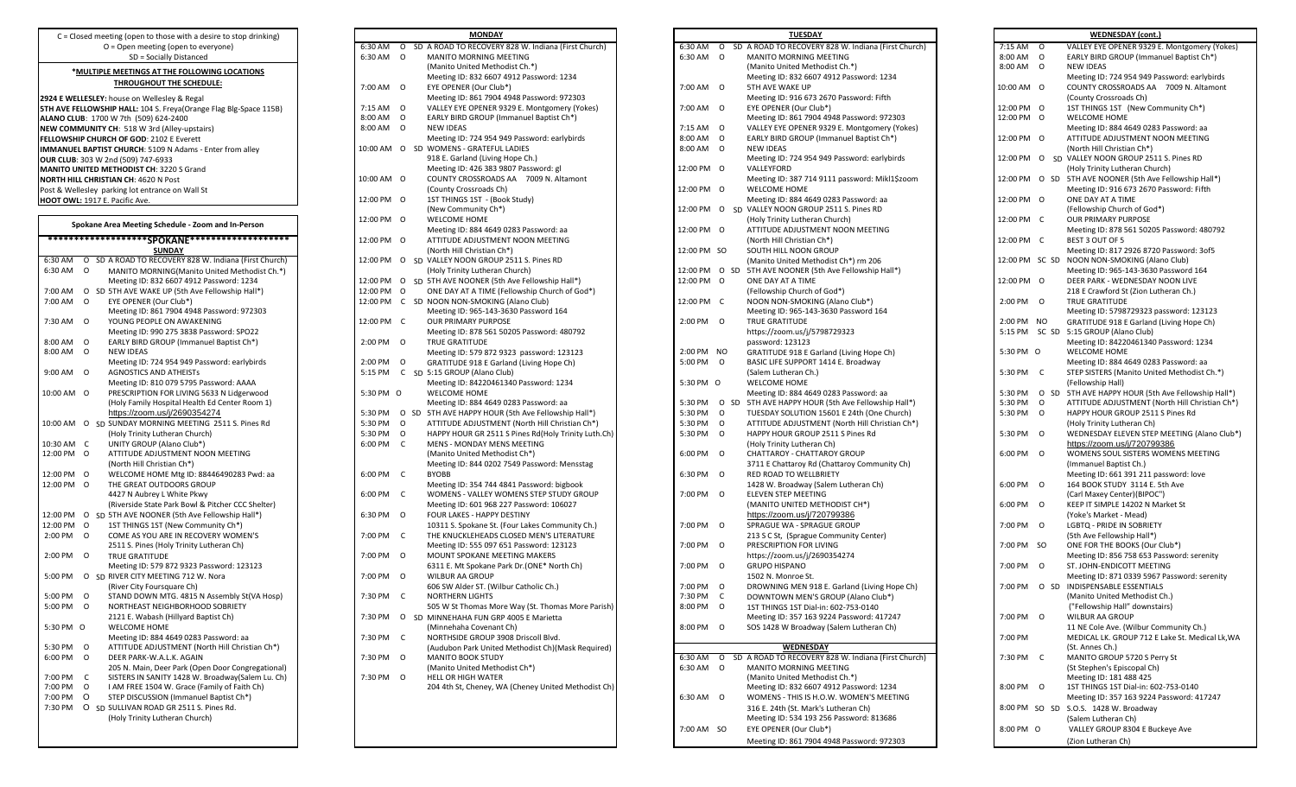| Spokane Area Meeting Schedule - Zoom and In-Person |          |                                                     |  |  |  |  |
|----------------------------------------------------|----------|-----------------------------------------------------|--|--|--|--|
|                                                    |          | *******************SPOKANE*******************       |  |  |  |  |
|                                                    |          | SUNDAY                                              |  |  |  |  |
| 6:30 AM                                            | Ō        | SD A ROAD TO RECOVERY 828 W. Indiana (First Church) |  |  |  |  |
| 6:30 AM                                            | O        | MANITO MORNING(Manito United Methodist Ch.*)        |  |  |  |  |
|                                                    |          | Meeting ID: 832 6607 4912 Password: 1234            |  |  |  |  |
| 7:00 AM                                            | O        | SD 5TH AVE WAKE UP (5th Ave Fellowship Hall*)       |  |  |  |  |
| 7:00 AM                                            | $\Omega$ | EYE OPENER (Our Club*)                              |  |  |  |  |
|                                                    |          | Meeting ID: 861 7904 4948 Password: 972303          |  |  |  |  |
| 7:30 AM                                            | O        | YOUNG PEOPLE ON AWAKENING                           |  |  |  |  |
|                                                    |          | Meeting ID: 990 275 3838 Password: SPO22            |  |  |  |  |
| 8:00 AM                                            | O        | EARLY BIRD GROUP (Immanuel Baptist Ch*)             |  |  |  |  |
| 8:00 AM                                            | O        | <b>NEW IDEAS</b>                                    |  |  |  |  |
|                                                    |          | Meeting ID: 724 954 949 Password: earlybirds        |  |  |  |  |
| 9:00 AM                                            | $\Omega$ | <b>AGNOSTICS AND ATHEISTS</b>                       |  |  |  |  |
|                                                    |          | Meeting ID: 810 079 5795 Password: AAAA             |  |  |  |  |
| 10:00 AM                                           | O        | PRESCRIPTION FOR LIVING 5633 N Lidgerwood           |  |  |  |  |
|                                                    |          | (Holy Family Hospital Health Ed Center Room 1)      |  |  |  |  |
|                                                    |          | https://zoom.us/j/2690354274                        |  |  |  |  |
| 10:00 AM                                           | O        | SD SUNDAY MORNING MEETING 2511 S. Pines Rd          |  |  |  |  |
|                                                    |          | (Holy Trinity Lutheran Church)                      |  |  |  |  |
| 10:30 AM                                           | C        | UNITY GROUP (Alano Club*)                           |  |  |  |  |
| 12:00 PM                                           | O        | ATTITUDE ADJUSTMENT NOON MEETING                    |  |  |  |  |
|                                                    |          | (North Hill Christian Ch*)                          |  |  |  |  |
| 12:00 PM                                           | Ω        | WELCOME HOME Mtg ID: 88446490283 Pwd: aa            |  |  |  |  |
| 12:00 PM                                           | $\Omega$ | THE GREAT OUTDOORS GROUP                            |  |  |  |  |
|                                                    |          | 4427 N Aubrey L White Pkwy                          |  |  |  |  |
|                                                    |          | (Riverside State Park Bowl & Pitcher CCC Shelter)   |  |  |  |  |
| 12:00 PM                                           | O        | SD 5TH AVE NOONER (5th Ave Fellowship Hall*)        |  |  |  |  |
| 12:00 PM                                           | $\Omega$ | 1ST THINGS 1ST (New Community Ch*)                  |  |  |  |  |
| 2:00 PM                                            | $\Omega$ | COME AS YOU ARE IN RECOVERY WOMEN'S                 |  |  |  |  |
|                                                    |          | 2511 S. Pines (Holy Trinity Lutheran Ch)            |  |  |  |  |
| 2:00 PM                                            | $\Omega$ | <b>TRUE GRATITUDE</b>                               |  |  |  |  |
|                                                    |          | Meeting ID: 579 872 9323 Password: 123123           |  |  |  |  |
| 5:00 PM                                            | O        | SD RIVER CITY MEETING 712 W. Nora                   |  |  |  |  |
|                                                    |          | (River City Foursquare Ch)                          |  |  |  |  |
| 5:00 PM                                            | $\Omega$ | STAND DOWN MTG. 4815 N Assembly St(VA Hosp)         |  |  |  |  |
| 5:00 PM                                            | $\Omega$ | NORTHEAST NEIGHBORHOOD SOBRIETY                     |  |  |  |  |
|                                                    |          | 2121 E. Wabash (Hillyard Baptist Ch)                |  |  |  |  |
| 5:30 PM                                            | O        | WELCOME HOME                                        |  |  |  |  |
|                                                    |          | Meeting ID: 884 4649 0283 Password: aa              |  |  |  |  |
| 5:30 PM                                            | O        | ATTITUDE ADJUSTMENT (North Hill Christian Ch*)      |  |  |  |  |
| 6:00 PM                                            | $\Omega$ | DEER PARK-W.A.L.K. AGAIN                            |  |  |  |  |
|                                                    |          | 205 N. Main, Deer Park (Open Door Congregational)   |  |  |  |  |
| 7:00 PM                                            | C        | SISTERS IN SANITY 1428 W. Broadway(Salem Lu. Ch)    |  |  |  |  |
| 7:00 PM                                            | O<br>O   | I AM FREE 1504 W. Grace (Family of Faith Ch)        |  |  |  |  |
| 7:00 PM                                            | O        | STEP DISCUSSION (Immanuel Baptist Ch*)              |  |  |  |  |
| 7:30 PM                                            |          | SD SULLIVAN ROAD GR 2511 S. Pines Rd.               |  |  |  |  |
|                                                    |          | (Holy Trinity Lutheran Church)                      |  |  |  |  |

|    |   |    | <b>MONDAY</b>                                                          |
|----|---|----|------------------------------------------------------------------------|
| N  | O |    | SD A ROAD TO RECOVERY 828 W. Indiana (First Church)                    |
| VI | О |    | MANITO MORNING MEETING                                                 |
|    |   |    | (Manito United Methodist Ch.*)                                         |
|    |   |    | Meeting ID: 832 6607 4912 Password: 1234                               |
| VI | Ο |    | EYE OPENER (Our Club*)                                                 |
|    |   |    | Meeting ID: 861 7904 4948 Password: 972303                             |
| VI | Ο |    | VALLEY EYE OPENER 9329 E. Montgomery (Yokes)                           |
| VI | О |    | EARLY BIRD GROUP (Immanuel Baptist Ch*)                                |
| VI | o |    | <b>NEW IDEAS</b>                                                       |
|    |   |    | Meeting ID: 724 954 949 Password: earlybirds                           |
| M  | 0 |    | SD WOMENS - GRATEFUL LADIES                                            |
|    |   |    | 918 E. Garland (Living Hope Ch.)                                       |
|    |   |    | Meeting ID: 426 383 9807 Password: gl                                  |
| M  | Ο |    | COUNTY CROSSROADS AA<br>7009 N. Altamont                               |
|    |   |    | (County Crossroads Ch)                                                 |
| М  | o |    | 1ST THINGS 1ST - (Book Study)                                          |
|    |   |    | (New Community Ch*)                                                    |
| М  | o |    | WELCOME HOME                                                           |
|    |   |    | Meeting ID: 884 4649 0283 Password: aa                                 |
| M  | Ο |    | ATTITUDE ADJUSTMENT NOON MEETING                                       |
|    |   |    | (North Hill Christian Ch*)                                             |
| М  | Ο |    | SD VALLEY NOON GROUP 2511 S. Pines RD                                  |
|    |   |    | (Holy Trinity Lutheran Church)                                         |
| М  | 0 |    | SD 5TH AVE NOONER (5th Ave Fellowship Hall*)                           |
| M  | О |    | ONE DAY AT A TIME (Fellowship Church of God*)                          |
| M  | С |    | SD NOON NON-SMOKING (Alano Club)                                       |
|    | С |    | Meeting ID: 965-143-3630 Password 164<br><b>OUR PRIMARY PURPOSE</b>    |
| М  |   |    | Meeting ID: 878 561 50205 Password: 480792                             |
| VI | Ο |    |                                                                        |
|    |   |    | TRUE GRATITUDE                                                         |
| VI | О |    | Meeting ID: 579 872 9323 password: 123123                              |
| VI | С |    | GRATITUDE 918 E Garland (Living Hope Ch)<br>SD 5:15 GROUP (Alano Club) |
|    |   |    | Meeting ID: 84220461340 Password: 1234                                 |
| VI | O |    | <b>WELCOME HOME</b>                                                    |
|    |   |    | Meeting ID: 884 4649 0283 Password: aa                                 |
| VI | Ο | SD | 5TH AVE HAPPY HOUR (5th Ave Fellowship Hall*)                          |
| VI | o |    | ATTITUDE ADJUSTMENT (North Hill Christian Ch*)                         |
| VI | О |    | HAPPY HOUR GR 2511 S Pines Rd (Holy Trinity Luth.Ch)                   |
| VI | C |    | MENS - MONDAY MENS MEETING                                             |
|    |   |    | (Manito United Methodist Ch*)                                          |
|    |   |    | Meeting ID: 844 0202 7549 Password: Mensstag                           |
| VI | С |    | <b>BYOBB</b>                                                           |
|    |   |    | Meeting ID: 354 744 4841 Password: bigbook                             |
| VI | С |    | WOMENS - VALLEY WOMENS STEP STUDY GROUP                                |
|    |   |    | Meeting ID: 601 968 227 Password: 106027                               |
| VI | Ο |    | FOUR LAKES - HAPPY DESTINY                                             |
|    |   |    | 10311 S. Spokane St. (Four Lakes Community Ch.)                        |
| VI | С |    | THE KNUCKLEHEADS CLOSED MEN'S LITERATURE                               |
|    |   |    | Meeting ID: 555 097 651 Password: 123123                               |
| VI | 0 |    | MOUNT SPOKANE MEETING MAKERS                                           |
|    |   |    | 6311 E. Mt Spokane Park Dr. (ONE* North Ch)                            |
| VI | Ο |    | <b>WILBUR AA GROUP</b>                                                 |
|    |   |    | 606 SW Alder ST. (Wilbur Catholic Ch.)                                 |
| VI | C |    | <b>NORTHERN LIGHTS</b>                                                 |
|    |   |    | 505 W St Thomas More Way (St. Thomas More Parish)                      |
| VI | О |    | SD MINNEHAHA FUN GRP 4005 E Marietta                                   |
|    |   |    | (Minnehaha Covenant Ch)                                                |
| VI | С |    | NORTHSIDE GROUP 3908 Driscoll Blvd.                                    |
|    |   |    | (Audubon Park United Methodist Ch)(Mask Required)                      |
| VI | О |    | <b>MANITO BOOK STUDY</b>                                               |
|    |   |    | (Manito United Methodist Ch*)                                          |
|    |   |    | <b>HELL OR HIGH WATER</b>                                              |
|    | О |    |                                                                        |
|    |   |    | 204 4th St, Cheney, WA (Cheney United Methodist Ch)                    |
| N  |   |    |                                                                        |
|    |   |    |                                                                        |
|    |   |    |                                                                        |

| C = Closed meeting (open to those with a desire to stop drinking)        | <b>MONDAY</b>                                                           | <b>TUESDAY</b>                                                          | <b>WEDNESDAY</b> (cont.)                                                                        |
|--------------------------------------------------------------------------|-------------------------------------------------------------------------|-------------------------------------------------------------------------|-------------------------------------------------------------------------------------------------|
| O = Open meeting (open to everyone)                                      | 6:30 AM O SD A ROAD TO RECOVERY 828 W. Indiana (First Church)           | 6:30 AM O SD A ROAD TO RECOVERY 828 W. Indiana (First Church)           | VALLEY EYE OPENER 9329 E. Montgomery (Yokes)<br>7:15 AM 0                                       |
| SD = Socially Distanced                                                  | 6:30 AM 0<br>MANITO MORNING MEETING                                     | 6:30 AM 0<br>MANITO MORNING MEETING                                     | 8:00 AM 0<br>EARLY BIRD GROUP (Immanuel Baptist Ch*)                                            |
| *MULTIPLE MEETINGS AT THE FOLLOWING LOCATIONS                            | (Manito United Methodist Ch.*)                                          | (Manito United Methodist Ch.*)                                          | 8:00 AM 0<br><b>NEW IDEAS</b>                                                                   |
| <b>THROUGHOUT THE SCHEDULE:</b>                                          | Meeting ID: 832 6607 4912 Password: 1234                                | Meeting ID: 832 6607 4912 Password: 1234                                | Meeting ID: 724 954 949 Password: earlybirds                                                    |
|                                                                          | 7:00 AM 0<br>EYE OPENER (Our Club*)                                     | 7:00 AM 0<br>5TH AVE WAKE UP                                            | 10:00 AM 0<br>COUNTY CROSSROADS AA 7009 N. Altamont                                             |
| 2924 E WELLESLEY: house on Wellesley & Regal                             | Meeting ID: 861 7904 4948 Password: 972303                              | Meeting ID: 916 673 2670 Password: Fifth                                | (County Crossroads Ch)                                                                          |
| <b>STH AVE FELLOWSHIP HALL:</b> 104 S. Freya(Orange Flag Blg-Space 115B) | 7:15 AM 0<br>VALLEY EYE OPENER 9329 E. Montgomery (Yokes)               | 7:00 AM 0<br>EYE OPENER (Our Club*)                                     | 12:00 PM 0<br>1ST THINGS 1ST (New Community Ch*)                                                |
| ALANO CLUB: 1700 W 7th (509) 624-2400                                    | EARLY BIRD GROUP (Immanuel Baptist Ch*)<br>8:00 AM 0                    | Meeting ID: 861 7904 4948 Password: 972303                              | 12:00 PM 0<br>WELCOME HOME                                                                      |
| NEW COMMUNITY CH: 518 W 3rd (Alley-upstairs)                             | 8:00 AM 0<br><b>NEW IDEAS</b>                                           | VALLEY EYE OPENER 9329 E. Montgomery (Yokes)<br>7:15 AM 0               | Meeting ID: 884 4649 0283 Password: aa                                                          |
| <b>ELLOWSHIP CHURCH OF GOD: 2102 E Everett</b>                           | Meeting ID: 724 954 949 Password: earlybirds                            | 8:00 AM 0<br>EARLY BIRD GROUP (Immanuel Baptist Ch*)                    | 12:00 PM 0<br>ATTITUDE ADJUSTMENT NOON MEETING                                                  |
| MMANUEL BAPTIST CHURCH: 5109 N Adams - Enter from alley                  | 10:00 AM  O  SD WOMENS - GRATEFUL LADIES                                | 8:00 AM 0<br><b>NEW IDEAS</b>                                           | (North Hill Christian Ch*)                                                                      |
| <b>DUR CLUB: 303 W 2nd (509) 747-6933</b>                                | 918 E. Garland (Living Hope Ch.)                                        | Meeting ID: 724 954 949 Password: earlybirds                            | 12:00 PM O SD VALLEY NOON GROUP 2511 S. Pines RD                                                |
| <b>MANITO UNITED METHODIST CH: 3220 S Grand</b>                          | Meeting ID: 426 383 9807 Password: gl                                   | VALLEYFORD<br>12:00 PM 0                                                | (Holy Trinity Lutheran Church)                                                                  |
| <b>NORTH HILL CHRISTIAN CH: 4620 N Post</b>                              | 10:00 AM 0<br>COUNTY CROSSROADS AA 7009 N. Altamont                     | Meeting ID: 387 714 9111 password: Mikl1\$zoom                          | 12:00 PM O SD 5TH AVE NOONER (5th Ave Fellowship Hall*)                                         |
| ost & Wellesley parking lot entrance on Wall St                          | (County Crossroads Ch)                                                  | 12:00 PM 0<br>WELCOME HOME                                              | Meeting ID: 916 673 2670 Password: Fifth                                                        |
| <b>HOOT OWL:</b> 1917 E. Pacific Ave.                                    | 12:00 PM O<br>1ST THINGS 1ST - (Book Study)                             | Meeting ID: 884 4649 0283 Password: aa                                  | 12:00 PM 0<br>ONE DAY AT A TIME                                                                 |
|                                                                          | (New Community Ch*)                                                     | 12:00 PM O SD VALLEY NOON GROUP 2511 S. Pines RD                        | (Fellowship Church of God*)                                                                     |
|                                                                          | 12:00 PM O<br>WELCOME HOME                                              | (Holy Trinity Lutheran Church)                                          | 12:00 PM C<br><b>OUR PRIMARY PURPOSE</b>                                                        |
| Spokane Area Meeting Schedule - Zoom and In-Person                       | Meeting ID: 884 4649 0283 Password: aa                                  | 12:00 PM O<br>ATTITUDE ADJUSTMENT NOON MEETING                          | Meeting ID: 878 561 50205 Password: 480792                                                      |
| ********************SPOKANE*******************                           | 12:00 PM O<br>ATTITUDE ADJUSTMENT NOON MEETING                          | (North Hill Christian Ch*)                                              | 12:00 PM C<br>BEST 3 OUT OF 5                                                                   |
| <b>SUNDAY</b>                                                            | (North Hill Christian Ch*)                                              | 12:00 PM SO<br>SOUTH HILL NOON GROUP                                    | Meeting ID: 817 2926 8720 Password: 3of5                                                        |
| 6:30 AM O SD A ROAD TO RECOVERY 828 W. Indiana (First Church)            | 12:00 PM O SD VALLEY NOON GROUP 2511 S. Pines RD                        | (Manito United Methodist Ch*) rm 206                                    | 12:00 PM SC SD NOON NON-SMOKING (Alano Club)                                                    |
| 6:30 AM 0<br>MANITO MORNING(Manito United Methodist Ch.*)                | (Holy Trinity Lutheran Church)                                          | 12:00 PM O SD 5TH AVE NOONER (5th Ave Fellowship Hall*)                 | Meeting ID: 965-143-3630 Password 164                                                           |
| Meeting ID: 832 6607 4912 Password: 1234                                 | 12:00 PM O SD 5TH AVE NOONER (5th Ave Fellowship Hall*)                 | 12:00 PM 0<br>ONE DAY AT A TIME                                         | 12:00 PM 0<br>DEER PARK - WEDNESDAY NOON LIVE                                                   |
| 7:00 AM O SD 5TH AVE WAKE UP (5th Ave Fellowship Hall*)                  | 12:00 PM O<br>ONE DAY AT A TIME (Fellowship Church of God*)             | (Fellowship Church of God*)                                             | 218 E Crawford St (Zion Lutheran Ch.)                                                           |
| 7:00 AM 0<br>EYE OPENER (Our Club*)                                      | 12:00 PM C SD NOON NON-SMOKING (Alano Club)                             | 12:00 PM C<br>NOON NON-SMOKING (Alano Club*)                            | 2:00 PM 0<br><b>TRUE GRATITUDE</b>                                                              |
| Meeting ID: 861 7904 4948 Password: 972303                               | Meeting ID: 965-143-3630 Password 164                                   | Meeting ID: 965-143-3630 Password 164                                   | Meeting ID: 5798729323 password: 123123                                                         |
| YOUNG PEOPLE ON AWAKENING<br>7:30 AM 0                                   | <b>OUR PRIMARY PURPOSE</b><br>12:00 PM C                                | 2:00 PM O<br><b>TRUE GRATITUDE</b>                                      | 2:00 PM NO<br>GRATITUDE 918 E Garland (Living Hope Ch)                                          |
| Meeting ID: 990 275 3838 Password: SPO22                                 | Meeting ID: 878 561 50205 Password: 480792                              | https://zoom.us/j/5798729323                                            | 5:15 PM SC SD 5:15 GROUP (Alano Club)                                                           |
| EARLY BIRD GROUP (Immanuel Baptist Ch*)<br>0 MA 00:8                     | 2:00 PM 0<br>TRUE GRATITUDE                                             | password: 123123                                                        | Meeting ID: 84220461340 Password: 1234                                                          |
| <b>NEW IDEAS</b><br>8:00 AM 0                                            | Meeting ID: 579 872 9323 password: 123123                               | 2:00 PM NO<br>GRATITUDE 918 E Garland (Living Hope Ch)                  | 5:30 PM O<br><b>WELCOME HOME</b>                                                                |
| Meeting ID: 724 954 949 Password: earlybirds                             | 2:00 PM 0<br>GRATITUDE 918 E Garland (Living Hope Ch)                   | 5:00 PM 0<br>BASIC LIFE SUPPORT 1414 E. Broadway                        | Meeting ID: 884 4649 0283 Password: aa                                                          |
| 9:00 AM 0<br><b>AGNOSTICS AND ATHEISTS</b>                               | 5:15 PM C SD 5:15 GROUP (Alano Club)                                    | (Salem Lutheran Ch.)                                                    | 5:30 PM C<br>STEP SISTERS (Manito United Methodist Ch.*)                                        |
| Meeting ID: 810 079 5795 Password: AAAA                                  | Meeting ID: 84220461340 Password: 1234                                  | 5:30 PM O<br>WELCOME HOME                                               | (Fellowship Hall)                                                                               |
| PRESCRIPTION FOR LIVING 5633 N Lidgerwood                                | 5:30 PM O<br>WELCOME HOME                                               | Meeting ID: 884 4649 0283 Password: aa                                  | 5:30 PM O SD 5TH AVE HAPPY HOUR (5th Ave Fellowship Hall*)                                      |
| 10:00 AM O                                                               |                                                                         |                                                                         | 5:30 PM<br>$\circ$                                                                              |
| (Holy Family Hospital Health Ed Center Room 1)                           | Meeting ID: 884 4649 0283 Password: aa                                  | 5:30 PM O SD 5TH AVE HAPPY HOUR (5th Ave Fellowship Hall*)<br>5:30 PM 0 | ATTITUDE ADJUSTMENT (North Hill Christian Ch*)<br>5:30 PM 0<br>HAPPY HOUR GROUP 2511 S Pines Rd |
| https://zoom.us/j/2690354274                                             | 5:30 PM O SD 5TH AVE HAPPY HOUR (5th Ave Fellowship Hall*)<br>5:30 PM 0 | TUESDAY SOLUTION 15601 E 24th (One Church)                              |                                                                                                 |
| 10:00 AM O SD SUNDAY MORNING MEETING 2511 S. Pines Rd                    | ATTITUDE ADJUSTMENT (North Hill Christian Ch*)                          | 5:30 PM 0<br>ATTITUDE ADJUSTMENT (North Hill Christian Ch*)             | (Holy Trinity Lutheran Ch)                                                                      |
| (Holy Trinity Lutheran Church)                                           | 5:30 PM 0<br>HAPPY HOUR GR 2511 S Pines Rd(Holy Trinity Luth.Ch)        | 5:30 PM 0<br>HAPPY HOUR GROUP 2511 S Pines Rd                           | 5:30 PM 0<br>WEDNESDAY ELEVEN STEP MEETING (Alano Club*)                                        |
| UNITY GROUP (Alano Club*)<br>10:30 AM C                                  | 6:00 PM C<br>MENS - MONDAY MENS MEETING                                 | (Holy Trinity Lutheran Ch)                                              | https://zoom.us/j/720799386                                                                     |
| ATTITUDE ADJUSTMENT NOON MEETING<br>12:00 PM 0                           | (Manito United Methodist Ch*)                                           | 6:00 PM 0<br><b>CHATTAROY - CHATTAROY GROUP</b>                         | WOMENS SOUL SISTERS WOMENS MEETING<br>6:00 PM 0                                                 |
| (North Hill Christian Ch*)                                               | Meeting ID: 844 0202 7549 Password: Mensstag                            | 3711 E Chattaroy Rd (Chattaroy Community Ch)                            | (Immanuel Baptist Ch.)                                                                          |
| WELCOME HOME Mtg ID: 88446490283 Pwd: aa<br>12:00 PM 0                   | 6:00 PM C<br><b>BYOBB</b>                                               | 6:30 PM 0<br>RED ROAD TO WELLBRIETY                                     | Meeting ID: 661 391 211 password: love                                                          |
| 12:00 PM O<br>THE GREAT OUTDOORS GROUP                                   | Meeting ID: 354 744 4841 Password: bigbook                              | 1428 W. Broadway (Salem Lutheran Ch)                                    | 6:00 PM 0<br>164 BOOK STUDY 3114 E. 5th Ave                                                     |
| 4427 N Aubrey L White Pkwy                                               | 6:00 PM C<br>WOMENS - VALLEY WOMENS STEP STUDY GROUP                    | 7:00 PM 0<br><b>ELEVEN STEP MEETING</b>                                 | (Carl Maxey Center)(BIPOC")                                                                     |
| (Riverside State Park Bowl & Pitcher CCC Shelter)                        | Meeting ID: 601 968 227 Password: 106027                                | (MANITO UNITED METHODIST CH*)                                           | KEEP IT SIMPLE 14202 N Market St<br>6:00 PM 0                                                   |
| 12:00 PM O SD 5TH AVE NOONER (5th Ave Fellowship Hall*)                  | 6:30 PM 0<br>FOUR LAKES - HAPPY DESTINY                                 | https://zoom.us/j/720799386                                             | (Yoke's Market - Mead)                                                                          |
| 1ST THINGS 1ST (New Community Ch*)<br>12:00 PM 0                         | 10311 S. Spokane St. (Four Lakes Community Ch.)                         | SPRAGUE WA - SPRAGUE GROUP<br>7:00 PM 0                                 | 7:00 PM 0<br>LGBTQ - PRIDE IN SOBRIETY                                                          |
| 2:00 PM 0<br>COME AS YOU ARE IN RECOVERY WOMEN'S                         | THE KNUCKLEHEADS CLOSED MEN'S LITERATURE<br>7:00 PM C                   | 213 S C St, (Sprague Community Center)                                  | (5th Ave Fellowship Hall*)                                                                      |
| 2511 S. Pines (Holy Trinity Lutheran Ch)                                 | Meeting ID: 555 097 651 Password: 123123                                | 7:00 PM 0<br>PRESCRIPTION FOR LIVING                                    | 7:00 PM SO<br>ONE FOR THE BOOKS (Our Club*)                                                     |
| 2:00 PM 0<br><b>TRUE GRATITUDE</b>                                       | 7:00 PM 0<br>MOUNT SPOKANE MEETING MAKERS                               | https://zoom.us/j/2690354274                                            | Meeting ID: 856 758 653 Password: serenity                                                      |
| Meeting ID: 579 872 9323 Password: 123123                                | 6311 E. Mt Spokane Park Dr.(ONE* North Ch)                              | <b>GRUPO HISPANO</b><br>7:00 PM 0                                       | ST. JOHN-ENDICOTT MEETING<br>7:00 PM 0                                                          |
| 5:00 PM O SD RIVER CITY MEETING 712 W. Nora                              | <b>WILBUR AA GROUP</b><br>7:00 PM 0                                     | 1502 N. Monroe St.                                                      | Meeting ID: 871 0339 5967 Password: serenity                                                    |
| (River City Foursquare Ch)                                               | 606 SW Alder ST. (Wilbur Catholic Ch.)                                  | 7:00 PM 0<br>DROWNING MEN 918 E. Garland (Living Hope Ch)               | 7:00 PM O SD INDISPENSABLE ESSENTIALS                                                           |
| 5:00 PM O<br>STAND DOWN MTG. 4815 N Assembly St(VA Hosp)                 | 7:30 PM C<br>NORTHERN LIGHTS                                            | 7:30 PM C<br>DOWNTOWN MEN'S GROUP (Alano Club*)                         | (Manito United Methodist Ch.)                                                                   |
| 5:00 PM 0<br>NORTHEAST NEIGHBORHOOD SOBRIETY                             | 505 W St Thomas More Way (St. Thomas More Parish)                       | 8:00 PM 0<br>1ST THINGS 1ST Dial-in: 602-753-0140                       | ("Fellowship Hall" downstairs)                                                                  |
| 2121 E. Wabash (Hillyard Baptist Ch)                                     | 7:30 PM O SD MINNEHAHA FUN GRP 4005 E Marietta                          | Meeting ID: 357 163 9224 Password: 417247                               | 7:00 PM 0<br><b>WILBUR AA GROUP</b>                                                             |
| 5:30 PM O<br>WELCOME HOME                                                | (Minnehaha Covenant Ch)                                                 | 8:00 PM 0<br>SOS 1428 W Broadway (Salem Lutheran Ch)                    | 11 NE Cole Ave. (Wilbur Community Ch.)                                                          |
| Meeting ID: 884 4649 0283 Password: aa                                   | 7:30 PM C<br>NORTHSIDE GROUP 3908 Driscoll Blvd.                        |                                                                         | MEDICAL LK. GROUP 712 E Lake St. Medical Lk, WA<br>7:00 PM                                      |
| ATTITUDE ADJUSTMENT (North Hill Christian Ch*)<br>5:30 PM 0              | (Audubon Park United Methodist Ch)(Mask Required)                       | WEDNESDAY                                                               | (St. Annes Ch.)                                                                                 |
| 6:00 PM 0<br>DEER PARK-W.A.L.K. AGAIN                                    | 7:30 PM 0<br><b>MANITO BOOK STUDY</b>                                   | 6:30 AM O SD A ROAD TO RECOVERY 828 W. Indiana (First Church)           | 7:30 PM C<br>MANITO GROUP 5720 S Perry St                                                       |
| 205 N. Main, Deer Park (Open Door Congregational)                        | (Manito United Methodist Ch*)                                           | MANITO MORNING MEETING<br>6:30 AM 0                                     | (St Stephen's Episcopal Ch)                                                                     |
| SISTERS IN SANITY 1428 W. Broadway(Salem Lu. Ch)<br>7:00 PM C            | 7:30 PM 0<br><b>HELL OR HIGH WATER</b>                                  | (Manito United Methodist Ch.*)                                          | Meeting ID: 181 488 425                                                                         |
| 7:00 PM 0<br>I AM FREE 1504 W. Grace (Family of Faith Ch)                | 204 4th St, Cheney, WA (Cheney United Methodist Ch)                     | Meeting ID: 832 6607 4912 Password: 1234                                | 8:00 PM 0<br>1ST THINGS 1ST Dial-in: 602-753-0140                                               |
| STEP DISCUSSION (Immanuel Baptist Ch*)<br>7:00 PM O                      |                                                                         | WOMENS - THIS IS H.O.W. WOMEN'S MEETING<br>6:30 AM 0                    | Meeting ID: 357 163 9224 Password: 417247                                                       |
| 7:30 PM O SD SULLIVAN ROAD GR 2511 S. Pines Rd.                          |                                                                         | 316 E. 24th (St. Mark's Lutheran Ch)                                    | 8:00 PM SO SD S.O.S. 1428 W. Broadway                                                           |
| (Holy Trinity Lutheran Church)                                           |                                                                         | Meeting ID: 534 193 256 Password: 813686                                | (Salem Lutheran Ch)                                                                             |
|                                                                          |                                                                         | 7:00 AM SO<br>EYE OPENER (Our Club*)                                    | 8:00 PM O<br>VALLEY GROUP 8304 E Buckeye Ave                                                    |
|                                                                          |                                                                         |                                                                         |                                                                                                 |
|                                                                          |                                                                         | Meeting ID: 861 7904 4948 Password: 972303                              | (Zion Lutheran Ch)                                                                              |

|          |         |       | <u>WEDNESDAY (cont.)</u>                                                            |
|----------|---------|-------|-------------------------------------------------------------------------------------|
| 7:15 AM  | O       |       | VALLEY EYE OPENER 9329 E. Montgomery (Yokes)                                        |
| 8:00 AM  | O       |       | EARLY BIRD GROUP (Immanuel Baptist Ch*)                                             |
| 8:00 AM  | 0       |       | <b>NEW IDEAS</b>                                                                    |
|          |         |       | Meeting ID: 724 954 949 Password: earlybirds                                        |
| 10:00 AM | O       |       | COUNTY CROSSROADS AA<br>7009 N. Altamont                                            |
|          |         |       | (County Crossroads Ch)                                                              |
| 12:00 PM | O       |       | 1ST THINGS 1ST (New Community Ch*)                                                  |
| 12:00 PM | O       |       | <b>WELCOME HOME</b>                                                                 |
|          |         |       | Meeting ID: 884 4649 0283 Password: aa                                              |
| 12:00 PM | 0       |       | ATTITUDE ADJUSTMENT NOON MEETING                                                    |
| 12:00 PM | O       |       | (North Hill Christian Ch*)<br>SD VALLEY NOON GROUP 2511 S. Pines RD                 |
|          |         |       |                                                                                     |
|          |         |       | (Holy Trinity Lutheran Church)<br>5TH AVE NOONER (5th Ave Fellowship Hall*)         |
| 12:00 PM | 0       | SD    |                                                                                     |
|          | O       |       | Meeting ID: 916 673 2670 Password: Fifth<br>ONE DAY AT A TIME                       |
| 12:00 PM |         |       | (Fellowship Church of God*)                                                         |
| 12:00 PM | C       |       | OUR PRIMARY PURPOSE                                                                 |
|          |         |       |                                                                                     |
| 12:00 PM | C       |       | Meeting ID: 878 561 50205 Password: 480792                                          |
|          |         |       | BEST 3 OUT OF 5<br>Meeting ID: 817 2926 8720 Password: 3of5                         |
| 12:00 PM |         | SC SD | NOON NON-SMOKING (Alano Club)                                                       |
|          |         |       | Meeting ID: 965-143-3630 Password 164                                               |
| 12:00 PM | O       |       | DEER PARK - WEDNESDAY NOON LIVE                                                     |
|          |         |       | 218 E Crawford St (Zion Lutheran Ch.)                                               |
|          | O       |       |                                                                                     |
| 2:00 PM  |         |       | TRUE GRATITUDE                                                                      |
| 2:00 PM  | NO      |       | Meeting ID: 5798729323 password: 123123<br>GRATITUDE 918 E Garland (Living Hope Ch) |
| 5:15 PM  |         | SC SD | 5:15 GROUP (Alano Club)                                                             |
|          |         |       | Meeting ID: 84220461340 Password: 1234                                              |
| 5:30 PM  | $\circ$ |       | WELCOME HOME                                                                        |
|          |         |       | Meeting ID: 884 4649 0283 Password: aa                                              |
| 5:30 PM  | C       |       | STEP SISTERS (Manito United Methodist Ch.*)                                         |
|          |         |       | (Fellowship Hall)                                                                   |
| 5:30 PM  | О       | SD    | 5TH AVE HAPPY HOUR (5th Ave Fellowship Hall*)                                       |
| 5:30 PM  | O       |       | ATTITUDE ADJUSTMENT (North Hill Christian Ch*)                                      |
| 5:30 PM  | O       |       | HAPPY HOUR GROUP 2511 S Pines Rd                                                    |
|          |         |       | (Holy Trinity Lutheran Ch)                                                          |
| 5:30 PM  | Ο       |       | WEDNESDAY ELEVEN STEP MEETING (Alano Club*)                                         |
|          |         |       | https://zoom.us/j/720799386                                                         |
| 6:00 PM  | O       |       | WOMENS SOUL SISTERS WOMENS MEETING                                                  |
|          |         |       | (Immanuel Baptist Ch.)                                                              |
|          |         |       | Meeting ID: 661 391 211 password: love                                              |
| 6:00 PM  | O       |       | 164 BOOK STUDY 3114 E. 5th Ave                                                      |
|          |         |       | (Carl Maxey Center)(BIPOC")                                                         |
| 6:00 PM  | 0       |       | KEEP IT SIMPLE 14202 N Market St                                                    |
|          |         |       | (Yoke's Market - Mead)                                                              |
| 7:00 PM  | O       |       | LGBTQ - PRIDE IN SOBRIETY                                                           |
|          |         |       | (5th Ave Fellowship Hall*)                                                          |
| 7:00 PM  | SO      |       | ONE FOR THE BOOKS (Our Club*)                                                       |
|          |         |       | Meeting ID: 856 758 653 Password: serenity                                          |
| 7:00 PM  | O       |       | ST. JOHN-ENDICOTT MEETING                                                           |
|          |         |       | Meeting ID: 871 0339 5967 Password: serenity                                        |
| 7:00 PM  | О       | SD    | INDISPENSABLE ESSENTIALS                                                            |
|          |         |       | (Manito United Methodist Ch.)                                                       |
|          |         |       | ("Fellowship Hall" downstairs)                                                      |
| 7:00 PM  | o       |       | WILBUR AA GROUP                                                                     |
|          |         |       | 11 NE Cole Ave. (Wilbur Community Ch.)                                              |
| 7:00 PM  |         |       | MEDICAL LK. GROUP 712 E Lake St. Medical Lk, WA                                     |
|          |         |       | (St. Annes Ch.)                                                                     |
| 7:30 PM  | C       |       | MANITO GROUP 5720 S Perry St                                                        |
|          |         |       | (St Stephen's Episcopal Ch)                                                         |
|          |         |       | Meeting ID: 181 488 425                                                             |
| 8:00 PM  | O       |       | 1ST THINGS 1ST Dial-in: 602-753-0140                                                |
|          |         |       | Meeting ID: 357 163 9224 Password: 417247                                           |
| 8:00 PM  | -SO     | SD    | S.O.S. 1428 W. Broadway                                                             |
|          |         |       | (Salem Lutheran Ch)                                                                 |
| 8:00 PM  | 0       |       | VALLEY GROUP 8304 E Buckeye Ave                                                     |
|          |         |       | (Zion Lutheran Ch)                                                                  |